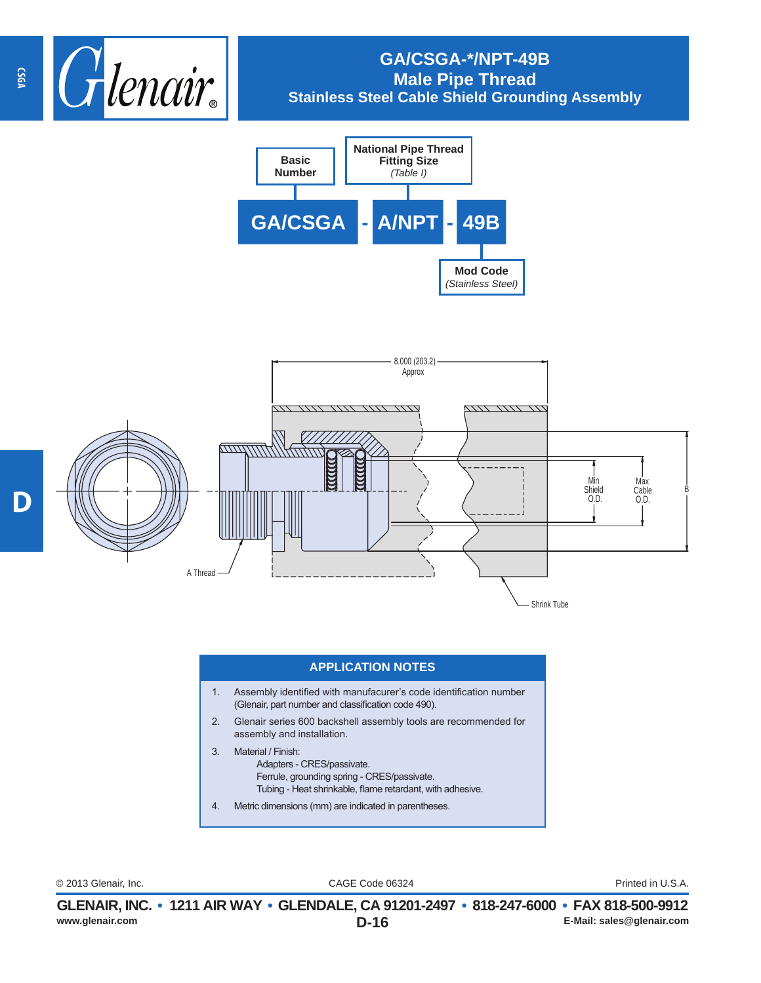

## **GA/CSGA-\*/NPT-49B Male Pipe Thread Stainless Steel Cable Shield Grounding Assembly**





## **APPLICATION NOTES**

- 1. Assembly identified with manufacurer's code identification number (Glenair, part number and classification code 490).
- 2. Glenair series 600 backshell assembly tools are recommended for assembly and installation.
- 3. Material / Finish: Adapters - CRES/passivate. Ferrule, grounding spring - CRES/passivate. Tubing - Heat shrinkable, flame retardant, with adhesive.
- 4. Metric dimensions (mm) are indicated in parentheses.

CAGE Code 06324 © 2013 Glenair, Inc. Printed in U.S.A.

**CSGA**